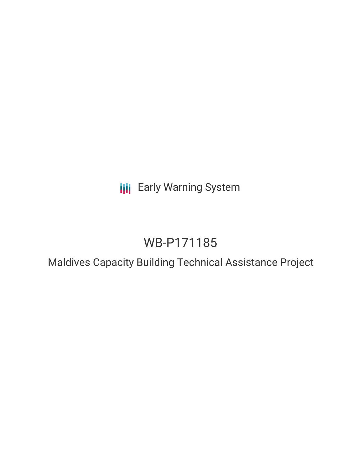## **III** Early Warning System

# WB-P171185

## Maldives Capacity Building Technical Assistance Project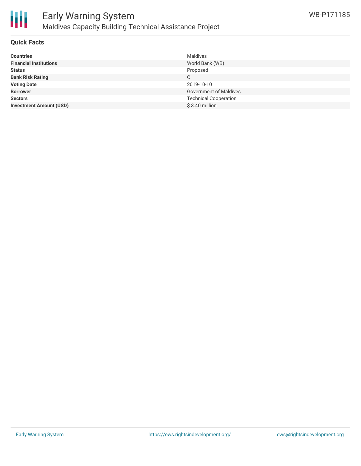

#### **Quick Facts**

| Maldives                      |
|-------------------------------|
| World Bank (WB)               |
| Proposed                      |
| C                             |
| 2019-10-10                    |
| <b>Government of Maldives</b> |
| <b>Technical Cooperation</b>  |
| $$3.40$ million               |
|                               |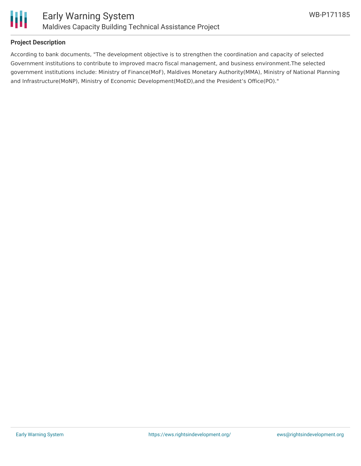

#### **Project Description**

According to bank documents, "The development objective is to strengthen the coordination and capacity of selected Government institutions to contribute to improved macro fiscal management, and business environment.The selected government institutions include: Ministry of Finance(MoF), Maldives Monetary Authority(MMA), Ministry of National Planning and Infrastructure(MoNP), Ministry of Economic Development(MoED),and the President's Office(PO)."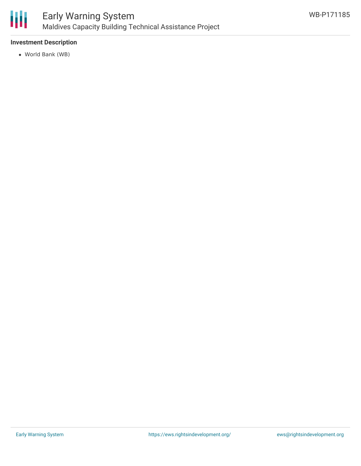

#### **Investment Description**

World Bank (WB)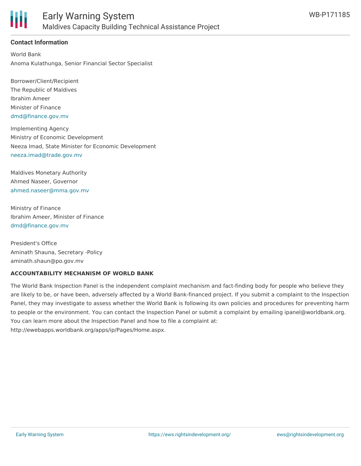

#### **Contact Information**

World Bank Anoma Kulathunga, Senior Financial Sector Specialist

Borrower/Client/Recipient The Republic of Maldives Ibrahim Ameer Minister of Finance [dmd@finance.gov.mv](mailto:dmd@finance.gov.mv)

Implementing Agency Ministry of Economic Development Neeza Imad, State Minister for Economic Development [neeza.imad@trade.gov.mv](mailto:neeza.imad@trade.gov.mv)

Maldives Monetary Authority Ahmed Naseer, Governor [ahmed.naseer@mma.gov.mv](mailto:ahmed.naseer@mma.gov.mv)

Ministry of Finance Ibrahim Ameer, Minister of Finance [dmd@finance.gov.mv](mailto:dmd@finance.gov.mv)

President's Office Aminath Shauna, Secretary -Policy aminath.shaun@po.gov.mv

#### **ACCOUNTABILITY MECHANISM OF WORLD BANK**

The World Bank Inspection Panel is the independent complaint mechanism and fact-finding body for people who believe they are likely to be, or have been, adversely affected by a World Bank-financed project. If you submit a complaint to the Inspection Panel, they may investigate to assess whether the World Bank is following its own policies and procedures for preventing harm to people or the environment. You can contact the Inspection Panel or submit a complaint by emailing ipanel@worldbank.org. You can learn more about the Inspection Panel and how to file a complaint at: http://ewebapps.worldbank.org/apps/ip/Pages/Home.aspx.